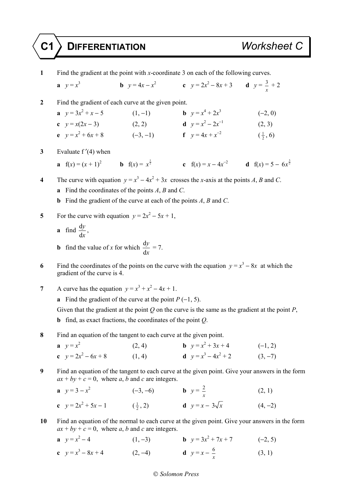## **C1 DIFFERENTIATION** *Worksheet C*

**1** Find the gradient at the point with *x*-coordinate 3 on each of the following curves.  $\mathbf{a} \quad v = x^3$ **b**  $y = 4x - x^2$  **c**  $y = 2x^2 - 8x + 3$  **d**  $y = \frac{3}{2}$  $\frac{5}{x}$  + 2 **2** Find the gradient of each curve at the given point. **a**  $y = 3x^2 + x - 5$  (1, -1) **b**  $y = x^4 + 2x^3$  $(-2, 0)$ **c**  $y = x(2x - 3)$  (2, 2) **d**  $y = x^2 - 2x^{-1}$  $(2, 3)$ **e**  $y = x^2$ + 6*x* + 8 (−3, −1) **f**  $y = 4x + x^{-2}$  ( $\frac{1}{2}$  $(\frac{1}{2}, 6)$ **3** Evaluate f ′(4) when **a**  $f(x) = (x + 1)^2$  **b**  $f(x) = x^{\frac{1}{2}}$  **c**  $f(x) = x - 4x^{-2}$  **d**  $f(x) = 5 - 6x^{\frac{3}{2}}$ **4** The curve with equation  $y = x^3 - 4x^2 + 3x$  crosses the *x*-axis at the points *A*, *B* and *C*. **a** Find the coordinates of the points *A*, *B* and *C*. **b** Find the gradient of the curve at each of the points *A*, *B* and *C*. 5 For the curve with equation  $y = 2x^2 - 5x + 1$ , **a** find  $\frac{d}{dx}$ d *y x* , **b** find the value of *x* for which  $\frac{d}{dx}$ d *y x*  $= 7.$ **6** Find the coordinates of the points on the curve with the equation  $y = x^3 - 8x$  at which the gradient of the curve is 4. **7** A curve has the equation  $y = x^3 + x^2 - 4x + 1$ . **a** Find the gradient of the curve at the point  $P(-1, 5)$ . Given that the gradient at the point *Q* on the curve is the same as the gradient at the point *P*, **b** find, as exact fractions, the coordinates of the point *Q*. **8** Find an equation of the tangent to each curve at the given point. **a**  $y = x^2$  $(2, 4)$  $x^2 + 3x + 4$  (-1, 2) **c**  $y = 2x^2 - 6x + 8$  (1, 4) **d**  $y = x$  $3-4x^2+2$  (3, -7) **9** Find an equation of the tangent to each curve at the given point. Give your answers in the form  $ax + by + c = 0$ , where *a*, *b* and *c* are integers. **a**  $y = 3 - x^2$  $(-3, -6)$  **b**  $y = \frac{2}{x}$ *x*  $(2, 1)$ **c**  $y = 2x^2 + 5x - 1$  ( $\frac{1}{2}$ , 2) **d**  $y = x - 3\sqrt{x}$  (4, -2) **10** Find an equation of the normal to each curve at the given point. Give your answers in the form  $ax + by + c = 0$ , where *a*, *b* and *c* are integers. **a**  $v = x^2 - 4$  $x^2-4$  (1, -3) **b**  $y = 3x^2 + 7x + 7$  (-2, 5) **c**  $y = x^3 - 8x + 4$  (2, -4) **d**  $y = x - \frac{6}{x}$  (3, 1)

## *Solomon Press*